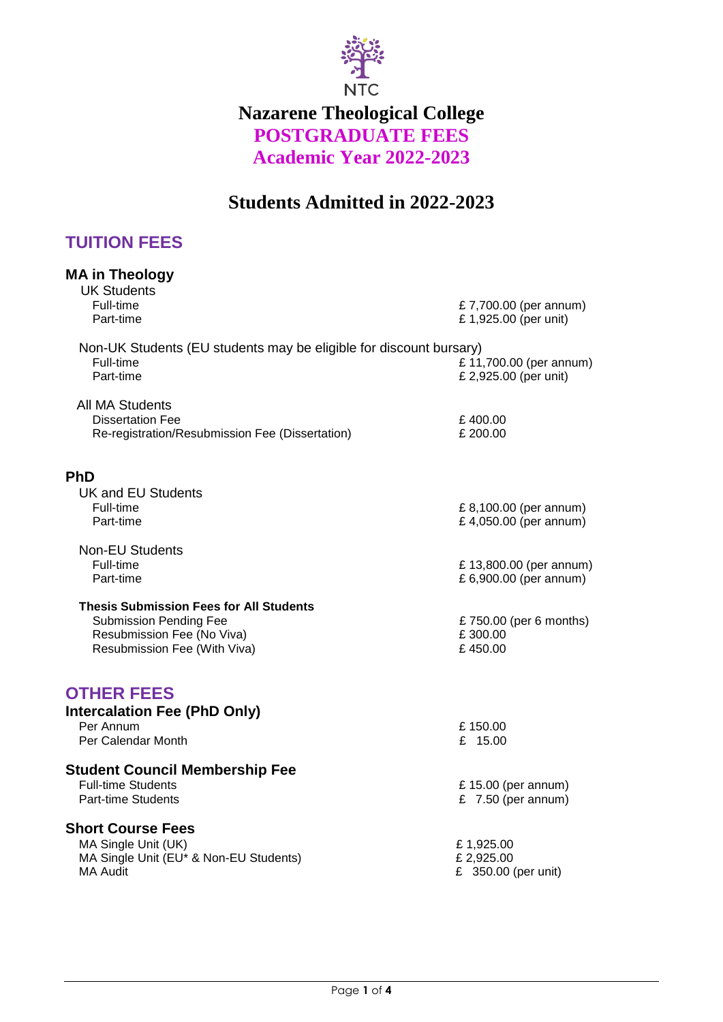

# **Nazarene Theological College POSTGRADUATE FEES Academic Year 2022-2023**

# **Students Admitted in 2022-2023**

# **TUITION FEES**

| <b>MA in Theology</b><br><b>UK Students</b>                                                                                                   |                                                   |
|-----------------------------------------------------------------------------------------------------------------------------------------------|---------------------------------------------------|
| Full-time<br>Part-time                                                                                                                        | £7,700.00 (per annum)<br>£1,925.00 (per unit)     |
| Non-UK Students (EU students may be eligible for discount bursary)<br>Full-time<br>Part-time                                                  | £ 11,700.00 (per annum)<br>£ 2,925.00 (per unit)  |
| <b>All MA Students</b><br><b>Dissertation Fee</b><br>Re-registration/Resubmission Fee (Dissertation)                                          | £400.00<br>£200.00                                |
| <b>PhD</b>                                                                                                                                    |                                                   |
| <b>UK and EU Students</b><br>Full-time<br>Part-time                                                                                           | £8,100.00 (per annum)<br>£4,050.00 (per annum)    |
| <b>Non-EU Students</b><br>Full-time<br>Part-time                                                                                              | £ 13,800.00 (per annum)<br>£ 6,900.00 (per annum) |
| <b>Thesis Submission Fees for All Students</b><br><b>Submission Pending Fee</b><br>Resubmission Fee (No Viva)<br>Resubmission Fee (With Viva) | £750.00 (per 6 months)<br>£300.00<br>£450.00      |
| <b>OTHER FEES</b>                                                                                                                             |                                                   |
| <b>Intercalation Fee (PhD Only)</b><br>Per Annum<br>Per Calendar Month                                                                        | £150.00<br>£ $15.00$                              |
| <b>Student Council Membership Fee</b>                                                                                                         |                                                   |
| <b>Full-time Students</b><br><b>Part-time Students</b>                                                                                        | £ 15.00 (per annum)<br>£ $7.50$ (per annum)       |
| <b>Short Course Fees</b>                                                                                                                      |                                                   |
| MA Single Unit (UK)<br>MA Single Unit (EU* & Non-EU Students)                                                                                 | £1,925.00<br>£2,925.00                            |
| <b>MA Audit</b>                                                                                                                               | £ 350.00 (per unit)                               |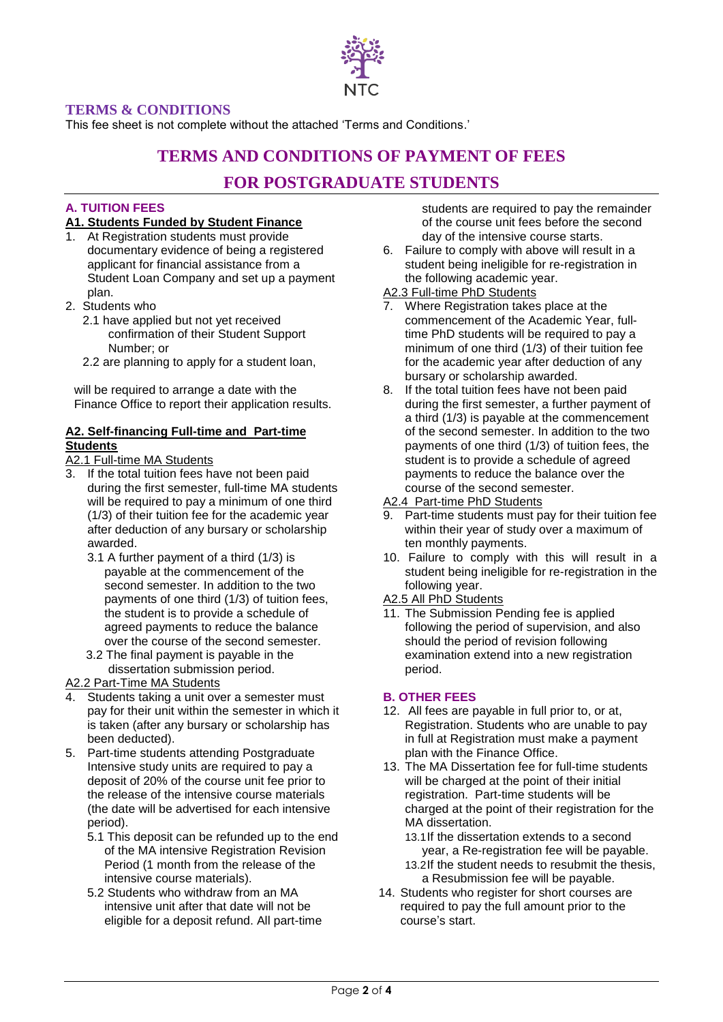

# **TERMS & CONDITIONS**

This fee sheet is not complete without the attached 'Terms and Conditions.'

# **TERMS AND CONDITIONS OF PAYMENT OF FEES**

# **FOR POSTGRADUATE STUDENTS**

### **A. TUITION FEES**

#### **A1. Students Funded by Student Finance**

- 1. At Registration students must provide documentary evidence of being a registered applicant for financial assistance from a Student Loan Company and set up a payment plan.
- 2. Students who
	- 2.1 have applied but not yet received confirmation of their Student Support Number; or
	- 2.2 are planning to apply for a student loan,

will be required to arrange a date with the Finance Office to report their application results.

### **A2. Self-financing Full-time and Part-time Students**

#### A2.1 Full-time MA Students

- 3. If the total tuition fees have not been paid during the first semester, full-time MA students will be required to pay a minimum of one third (1/3) of their tuition fee for the academic year after deduction of any bursary or scholarship awarded.
	- 3.1 A further payment of a third (1/3) is payable at the commencement of the second semester. In addition to the two payments of one third (1/3) of tuition fees, the student is to provide a schedule of agreed payments to reduce the balance over the course of the second semester.
	- 3.2 The final payment is payable in the dissertation submission period.
- A2.2 Part-Time MA Students
- 4. Students taking a unit over a semester must pay for their unit within the semester in which it is taken (after any bursary or scholarship has been deducted).
- 5. Part-time students attending Postgraduate Intensive study units are required to pay a deposit of 20% of the course unit fee prior to the release of the intensive course materials (the date will be advertised for each intensive period).
	- 5.1 This deposit can be refunded up to the end of the MA intensive Registration Revision Period (1 month from the release of the intensive course materials).
	- 5.2 Students who withdraw from an MA intensive unit after that date will not be eligible for a deposit refund. All part-time

students are required to pay the remainder of the course unit fees before the second day of the intensive course starts.

6. Failure to comply with above will result in a student being ineligible for re-registration in the following academic year.

### A2.3 Full-time PhD Students

- 7. Where Registration takes place at the commencement of the Academic Year, fulltime PhD students will be required to pay a minimum of one third (1/3) of their tuition fee for the academic year after deduction of any bursary or scholarship awarded.
- 8. If the total tuition fees have not been paid during the first semester, a further payment of a third (1/3) is payable at the commencement of the second semester. In addition to the two payments of one third (1/3) of tuition fees, the student is to provide a schedule of agreed payments to reduce the balance over the course of the second semester.
- A2.4 Part-time PhD Students
- 9. Part-time students must pay for their tuition fee within their year of study over a maximum of ten monthly payments.
- 10. Failure to comply with this will result in a student being ineligible for re-registration in the following year.
- A2.5 All PhD Students
- 11. The Submission Pending fee is applied following the period of supervision, and also should the period of revision following examination extend into a new registration period.

#### **B. OTHER FEES**

- 12. All fees are payable in full prior to, or at, Registration. Students who are unable to pay in full at Registration must make a payment plan with the Finance Office.
- 13. The MA Dissertation fee for full-time students will be charged at the point of their initial registration. Part-time students will be charged at the point of their registration for the MA dissertation.
	- 13.1If the dissertation extends to a second year, a Re-registration fee will be payable. 13.2If the student needs to resubmit the thesis, a Resubmission fee will be payable.
- 14. Students who register for short courses are required to pay the full amount prior to the course's start.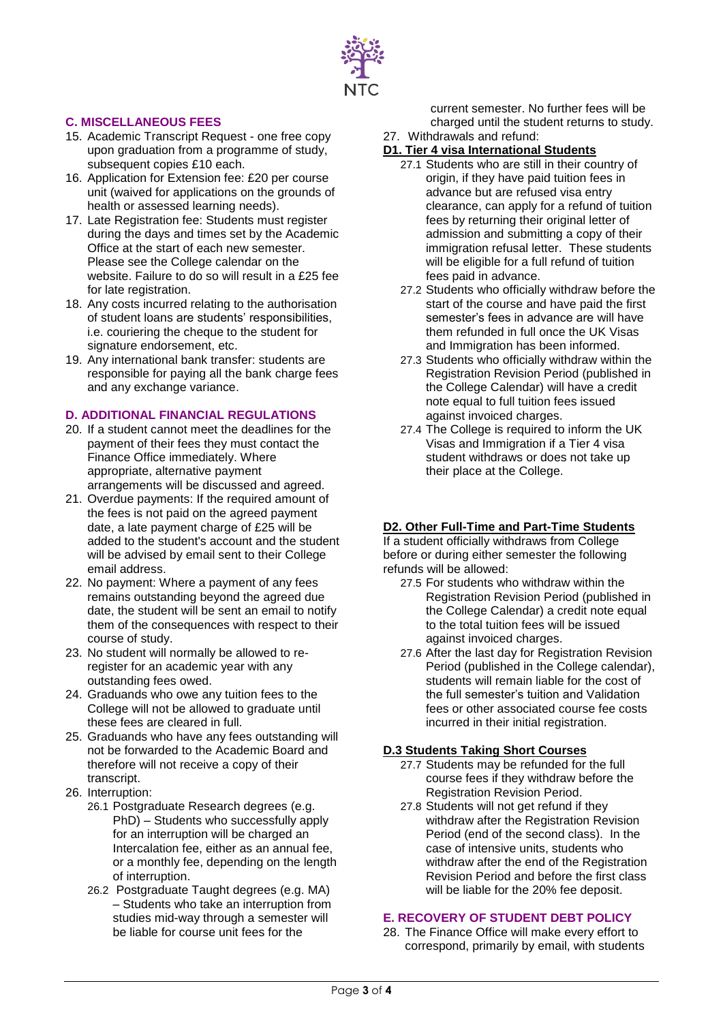

## **C. MISCELLANEOUS FEES**

- 15. Academic Transcript Request one free copy upon graduation from a programme of study, subsequent copies £10 each.
- 16. Application for Extension fee: £20 per course unit (waived for applications on the grounds of health or assessed learning needs).
- 17. Late Registration fee: Students must register during the days and times set by the Academic Office at the start of each new semester. Please see the College calendar on the website. Failure to do so will result in a £25 fee for late registration.
- 18. Any costs incurred relating to the authorisation of student loans are students' responsibilities, i.e. couriering the cheque to the student for signature endorsement, etc.
- 19. Any international bank transfer: students are responsible for paying all the bank charge fees and any exchange variance.

#### **D. ADDITIONAL FINANCIAL REGULATIONS**

- 20. If a student cannot meet the deadlines for the payment of their fees they must contact the Finance Office immediately. Where appropriate, alternative payment arrangements will be discussed and agreed.
- 21. Overdue payments: If the required amount of the fees is not paid on the agreed payment date, a late payment charge of £25 will be added to the student's account and the student will be advised by email sent to their College email address.
- 22. No payment: Where a payment of any fees remains outstanding beyond the agreed due date, the student will be sent an email to notify them of the consequences with respect to their course of study.
- 23. No student will normally be allowed to reregister for an academic year with any outstanding fees owed.
- 24. Graduands who owe any tuition fees to the College will not be allowed to graduate until these fees are cleared in full.
- 25. Graduands who have any fees outstanding will not be forwarded to the Academic Board and therefore will not receive a copy of their transcript.
- 26. Interruption:
	- 26.1 Postgraduate Research degrees (e.g. PhD) – Students who successfully apply for an interruption will be charged an Intercalation fee, either as an annual fee, or a monthly fee, depending on the length of interruption.
	- 26.2 Postgraduate Taught degrees (e.g. MA) – Students who take an interruption from studies mid-way through a semester will be liable for course unit fees for the

current semester. No further fees will be charged until the student returns to study.

27. Withdrawals and refund:

## **D1. Tier 4 visa International Students**

- 27.1 Students who are still in their country of origin, if they have paid tuition fees in advance but are refused visa entry clearance, can apply for a refund of tuition fees by returning their original letter of admission and submitting a copy of their immigration refusal letter. These students will be eligible for a full refund of tuition fees paid in advance.
- 27.2 Students who officially withdraw before the start of the course and have paid the first semester's fees in advance are will have them refunded in full once the UK Visas and Immigration has been informed.
- 27.3 Students who officially withdraw within the Registration Revision Period (published in the College Calendar) will have a credit note equal to full tuition fees issued against invoiced charges.
- 27.4 The College is required to inform the UK Visas and Immigration if a Tier 4 visa student withdraws or does not take up their place at the College.

#### **D2. Other Full-Time and Part-Time Students**

If a student officially withdraws from College before or during either semester the following refunds will be allowed:

- 27.5 For students who withdraw within the Registration Revision Period (published in the College Calendar) a credit note equal to the total tuition fees will be issued against invoiced charges.
- 27.6 After the last day for Registration Revision Period (published in the College calendar), students will remain liable for the cost of the full semester's tuition and Validation fees or other associated course fee costs incurred in their initial registration.

#### **D.3 Students Taking Short Courses**

- 27.7 Students may be refunded for the full course fees if they withdraw before the Registration Revision Period.
- 27.8 Students will not get refund if they withdraw after the Registration Revision Period (end of the second class). In the case of intensive units, students who withdraw after the end of the Registration Revision Period and before the first class will be liable for the 20% fee deposit.

#### **E. RECOVERY OF STUDENT DEBT POLICY**

28. The Finance Office will make every effort to correspond, primarily by email, with students